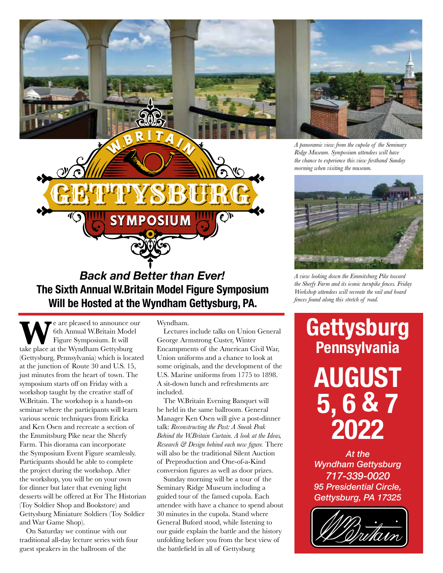

## *Back and Better than Ever!*  **The Sixth Annual W.Britain Model Figure Symposium Will be Hosted at the Wyndham Gettysburg, PA.**

GETTYSBURG

**MPOSIUM** 

GETTYSBURG

GETTYSBURG

**W**e are pleased to announce our<br>
Figure Symposium. It will<br>
take place at the Wyndham Gettysburg 6th Annual W.Britain Model Figure Symposium. It will (Gettysburg, Pennsylvania) which is located at the junction of Route 30 and U.S. 15, just minutes from the heart of town. The symposium starts off on Friday with a workshop taught by the creative staff of W.Britain. The workshop is a hands-on seminar where the participants will learn various scenic techniques from Ericka and Ken Osen and recreate a section of the Emmitsburg Pike near the Sherfy Farm. This diorama can incorporate the Symposium Event Figure seamlessly. Participants should be able to complete the project during the workshop. After the workshop, you will be on your own for dinner but later that evening light desserts will be offered at For The Historian (Toy Soldier Shop and Bookstore) and Gettysburg Miniature Soldiers (Toy Soldier and War Game Shop).

On Saturday we continue with our traditional all-day lecture series with four guest speakers in the ballroom of the

Wyndham.

Lectures include talks on Union General George Armstrong Custer, Winter Encampments of the American Civil War, Union uniforms and a chance to look at some originals, and the development of the U.S. Marine uniforms from 1775 to 1898. A sit-down lunch and refreshments are included.

The W.Britain Evening Banquet will be held in the same ballroom. General Manager Ken Osen will give a post-dinner talk: *Reconstructing the Past: A Sneak Peak Behind the W.Britain Curtain. A look at the Ideas, Research & Design behind each new figure.* There will also be the traditional Silent Auction of Preproduction and One-of-a-Kind conversion figures as well as door prizes.

Sunday morning will be a tour of the Seminary Ridge Museum including a guided tour of the famed cupola. Each attendee with have a chance to spend about 30 minutes in the cupola. Stand where General Buford stood, while listening to our guide explain the battle and the history unfolding before you from the best view of the battlefield in all of Gettysburg



*A view looking down the Emmitsburg Pike toward the Sherfy Farm and its iconic turnpike fences. Friday Workshop attendees will recreate the rail and board fences found along this stretch of road.*

# **Gettysburg Pennsylvania AUGUST 5, 6 & 7 2022**

*At the Wyndham Gettysburg 717-339-0020 95 Presidential Circle, Gettysburg, PA 17325*

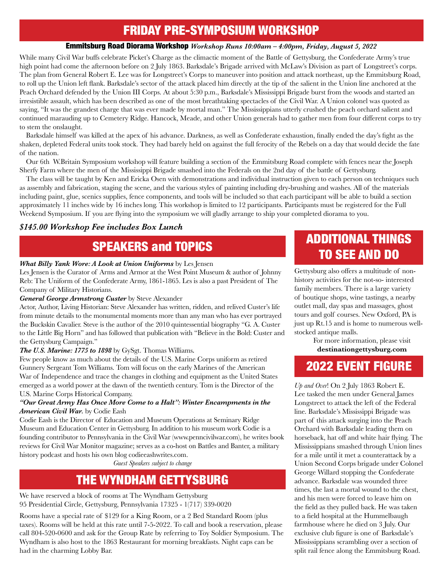### FRIDAY PRE-SYMPOSIUM WORKSHOP

### Emmitsburg Road Diorama Workshop *Workshop Runs 10:00am – 4:00pm, Friday, August 5, 2022*

While many Civil War buffs celebrate Picket's Charge as the climactic moment of the Battle of Gettysburg, the Confederate Army's true high point had come the afternoon before on 2 July 1863. Barksdale's Brigade arrived with McLaw's Division as part of Longstreet's corps. The plan from General Robert E. Lee was for Longstreet's Corps to maneuver into position and attack northeast, up the Emmitsburg Road, to roll up the Union left flank. Barksdale's sector of the attack placed him directly at the tip of the salient in the Union line anchored at the Peach Orchard defended by the Union III Corps. At about 5:30 p.m., Barksdale's Mississippi Brigade burst from the woods and started an irresistible assault, which has been described as one of the most breathtaking spectacles of the Civil War. A Union colonel was quoted as saying, "It was the grandest charge that was ever made by mortal man." The Mississippians utterly crushed the peach orchard salient and continued marauding up to Cemetery Ridge. Hancock, Meade, and other Union generals had to gather men from four different corps to try to stem the onslaught.

Barksdale himself was killed at the apex of his advance. Darkness, as well as Confederate exhaustion, finally ended the day's fight as the shaken, depleted Federal units took stock. They had barely held on against the full ferocity of the Rebels on a day that would decide the fate of the nation.

Our 6th W.Britain Symposium workshop will feature building a section of the Emmitsburg Road complete with fences near the Joseph Sherfy Farm where the men of the Mississippi Brigade smashed into the Federals on the 2nd day of the battle of Gettysburg.

The class will be taught by Ken and Ericka Osen with demonstrations and individual instruction given to each person on techniques such as assembly and fabrication, staging the scene, and the various styles of painting including dry-brushing and washes. All of the materials including paint, glue, scenics supplies, fence components, and tools will be included so that each participant will be able to build a section approximately 11 inches wide by 16 inches long. This workshop is limited to 12 participants. Participants must be registered for the Full Weekend Symposium. If you are flying into the symposium we will gladly arrange to ship your completed diorama to you.

### *\$145.00 Workshop Fee includes Box Lunch*

### *What Billy Yank Wore: A Look at Union Uniforms* by Les Jensen

Les Jensen is the Curator of Arms and Armor at the West Point Museum & author of Johnny Reb: The Uniform of the Confederate Army, 1861-1865. Les is also a past President of The Company of Military Historians.

### *General George Armstrong Custer* by Steve Alexander

Actor, Author, Living Historian: Steve Alexander has written, ridden, and relived Custer's life from minute details to the monumental moments more than any man who has ever portrayed the Buckskin Cavalier. Steve is the author of the 2010 quintessential biography "G. A. Custer to the Little Big Horn" and has followed that publication with "Believe in the Bold: Custer and the Gettysburg Campaign."

### *The U.S. Marine: 1775 to 1898* by GySgt. Thomas Williams*.*

Few people know as much about the details of the U.S. Marine Corps uniform as retired Gunnery Sergeant Tom Williams. Tom will focus on the early Marines of the American War of Independence and trace the changes in clothing and equipment as the United States emerged as a world power at the dawn of the twentieth century. Tom is the Director of the U.S. Marine Corps Historical Company.

### *"Our Great Army Has Once More Come to a Halt": Winter Encampments in the American Civil War.* by Codie Eash

Codie Eash is the Director of Education and Museum Operations at Seminary Ridge Museum and Education Center in Gettysburg. In addition to his museum work Codie is a founding contributor to Pennsylvania in the Civil War (www.penncivilwar.com), he writes book reviews for Civil War Monitor magazine; serves as a co-host on Battles and Banter, a military history podcast and hosts his own blog codieeashwrites.com.

*Guest Speakers subject to change*

### THE WYNDHAM GETTYSBURG

We have reserved a block of rooms at The Wyndham Gettysburg 95 Presidential Circle, Gettysburg, Pennsylvania 17325 - 1(717) 339-0020

Rooms have a special rate of \$129 for a King Room, or a 2 Bed Standard Room (plus taxes). Rooms will be held at this rate until 7-5-2022. To call and book a reservation, please call 804-520-0600 and ask for the Group Rate by referring to Toy Soldier Symposium. The Wyndham is also host to the 1863 Restaurant for morning breakfasts. Night caps can be had in the charming Lobby Bar.

## SPEAKERS and TOPICS ADDITIONAL THINGS TO SEE AND DO

Gettysburg also offers a multitude of nonhistory activities for the not-so- interested family members. There is a large variety of boutique shops, wine tastings, a nearby outlet mall, day spas and massages, ghost tours and golf courses. New Oxford, PA is just up Rt.15 and is home to numerous wellstocked antique malls.

For more information, please visit **destinationgettysburg.com**

### 2022 EVENT FIGURE

*Up and Over*! On 2 July 1863 Robert E. Lee tasked the men under General James Longstreet to attack the left of the Federal line. Barksdale's Mississippi Brigade was part of this attack surging into the Peach Orchard with Barksdale leading them on horseback, hat off and white hair flying. The Mississippians smashed through Union lines for a mile until it met a counterattack by a Union Second Corps brigade under Colonel George Willard stopping the Confederate advance. Barksdale was wounded three times, the last a mortal wound to the chest, and his men were forced to leave him on the field as they pulled back. He was taken to a field hospital at the Hummelbaugh farmhouse where he died on 3 July. Our exclusive club figure is one of Barksdale's Mississippians scrambling over a section of split rail fence along the Emmitsburg Road.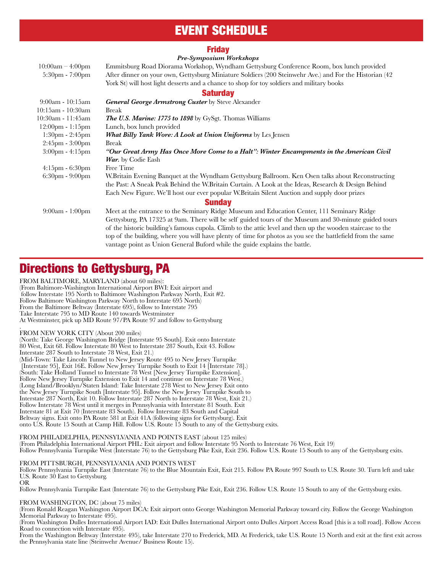### EVENT SCHEDULE

#### Friday

#### *Pre-Symposium Workshops*

| $10:00am - 4:00pm$<br>$5:30pm - 7:00pm$ | Emmitsburg Road Diorama Workshop, Wyndham Gettysburg Conference Room, box lunch provided<br>After dinner on your own, Gettysburg Miniature Soldiers (200 Steinwehr Ave.) and For the Historian (42 |
|-----------------------------------------|----------------------------------------------------------------------------------------------------------------------------------------------------------------------------------------------------|
|                                         | York St) will host light desserts and a chance to shop for toy soldiers and military books                                                                                                         |
|                                         |                                                                                                                                                                                                    |
|                                         | <b>Saturday</b>                                                                                                                                                                                    |
| $9:00am - 10:15am$                      | General George Armstrong Custer by Steve Alexander                                                                                                                                                 |
| $10:15am - 10:30am$                     | <b>Break</b>                                                                                                                                                                                       |
| 10:30am - 11:45am                       | <b>The U.S. Marine: 1775 to 1898</b> by GySgt. Thomas Williams                                                                                                                                     |
| $12:00 \text{pm} - 1:15 \text{pm}$      | Lunch, box lunch provided                                                                                                                                                                          |
| $1:30pm - 2:45pm$                       | <b>What Billy Yank Wore: A Look at Union Uniforms</b> by Les Jensen                                                                                                                                |
| $2:45\text{pm} - 3:00\text{pm}$         | <b>Break</b>                                                                                                                                                                                       |
| $3:00 \text{pm} - 4:15 \text{pm}$       | "Our Great Army Has Once More Come to a Halt": Winter Encampments in the American Civil                                                                                                            |
|                                         | War. by Codie Eash                                                                                                                                                                                 |
| $4:15$ pm - $6:30$ pm                   | Free Time                                                                                                                                                                                          |
| $6:30pm - 9:00pm$                       | W.Britain Evening Banquet at the Wyndham Gettysburg Ballroom. Ken Osen talks about Reconstructing                                                                                                  |
|                                         | the Past: A Sneak Peak Behind the W.Britain Curtain. A Look at the Ideas, Research & Design Behind                                                                                                 |
|                                         | Each New Figure. We'll host our ever popular W.Britain Silent Auction and supply door prizes                                                                                                       |
| <b>Sunday</b>                           |                                                                                                                                                                                                    |
| $9:00am - 1:00pm$                       | Meet at the entrance to the Seminary Ridge Museum and Education Center, 111 Seminary Ridge                                                                                                         |
|                                         | Gettysburg, PA 17325 at 9am. There will be self guided tours of the Museum and 30-minute guided tours                                                                                              |
|                                         | of the historic building's famous cupola. Climb to the attic level and then up the wooden staircase to the                                                                                         |
|                                         | top of the building, where you will have plenty of time for photos as you see the battlefield from the same                                                                                        |
|                                         | vantage point as Union General Buford while the guide explains the battle.                                                                                                                         |

### Directions to Gettysburg, PA

FROM BALTIMORE, MARYLAND (about 60 miles): (From Baltimore-Washington International Airport BWI: Exit airport and follow Interstate 195 North to Baltimore Washington Parkway North, Exit #2. Follow Baltimore Washington Parkway North to Interstate 695 North) From the Baltimore Beltway (Interstate 695), follow to Interstate 795 Take Interstate 795 to MD Route 140 towards Westminster At Westminster, pick up MD Route 97/PA Route 97 and follow to Gettysburg .

FROM NEW YORK CITY (About 200 miles)

(North: Take George Washington Bridge [Interstate 95 South]. Exit onto Interstate 80 West, Exit 68. Follow Interstate 80 West to Interstate 287 South, Exit 43. Follow Interstate 287 South to Interstate 78 West, Exit 21.) (Mid-Town: Take Lincoln Tunnel to New Jersey Route 495 to New Jersey Turnpike [Interstate 95], Exit 16E. Follow New Jersey Turnpike South to Exit 14 [Interstate 78].) (South: Take Holland Tunnel to Interstate 78 West [New Jersey Turnpike Extension]. Follow New Jersey Turnpike Extension to Exit 14 and continue on Interstate 78 West.) (Long Island/Brooklyn/Staten Island: Take Interstate 278 West to New Jersey Exit onto the New Jersey Turnpike South [Interstate 95]. Follow the New Jersey Turnpike South to Interstate 287 North, Exit 10. Follow Interstate 287 North to Interstate 78 West, Exit 21.) Follow Interstate 78 West until it merges in Pennsylvania with Interstate 81 South. Exit Interstate 81 at Exit 70 (Interstate 83 South). Follow Interstate 83 South and Capital Beltway signs. Exit onto PA Route 581 at Exit 41A (following signs for Gettysburg). Exit onto U.S. Route 15 South at Camp Hill. Follow U.S. Route 15 South to any of the Gettysburg exits.

#### FROM PHILADELPHIA, PENNSYLVANIA AND POINTS EAST (about 125 miles)

(From Philadelphia International Airport PHL: Exit airport and follow Interstate 95 North to Interstate 76 West, Exit 19) Follow Pennsylvania Turnpike West (Interstate 76) to the Gettysburg Pike Exit, Exit 236. Follow U.S. Route 15 South to any of the Gettysburg exits.

#### FROM PITTSBURGH, PENNSYLVANIA AND POINTS WEST

Follow Pennsylvania Turnpike East (Interstate 76) to the Blue Mountain Exit, Exit 215. Follow PA Route 997 South to U.S. Route 30. Turn left and take U.S. Route 30 East to Gettysburg.

OR

Follow Pennsylvania Turnpike East (Interstate 76) to the Gettysburg Pike Exit, Exit 236. Follow U.S. Route 15 South to any of the Gettysburg exits.

#### FROM WASHINGTON, DC (about 75 miles)

(From Ronald Reagan Washington Airport DCA: Exit airport onto George Washington Memorial Parkway toward city. Follow the George Washington Memorial Parkway to Interstate 495).

(From Washington Dulles International Airport IAD: Exit Dulles International Airport onto Dulles Airport Access Road [this is a toll road]. Follow Access Road to connection with Interstate 495).

From the Washington Beltway (Interstate 495), take Interstate 270 to Frederick, MD. At Frederick, take U.S. Route 15 North and exit at the first exit across the Pennsylvania state line (Steinwehr Avenue/ Business Route 15).